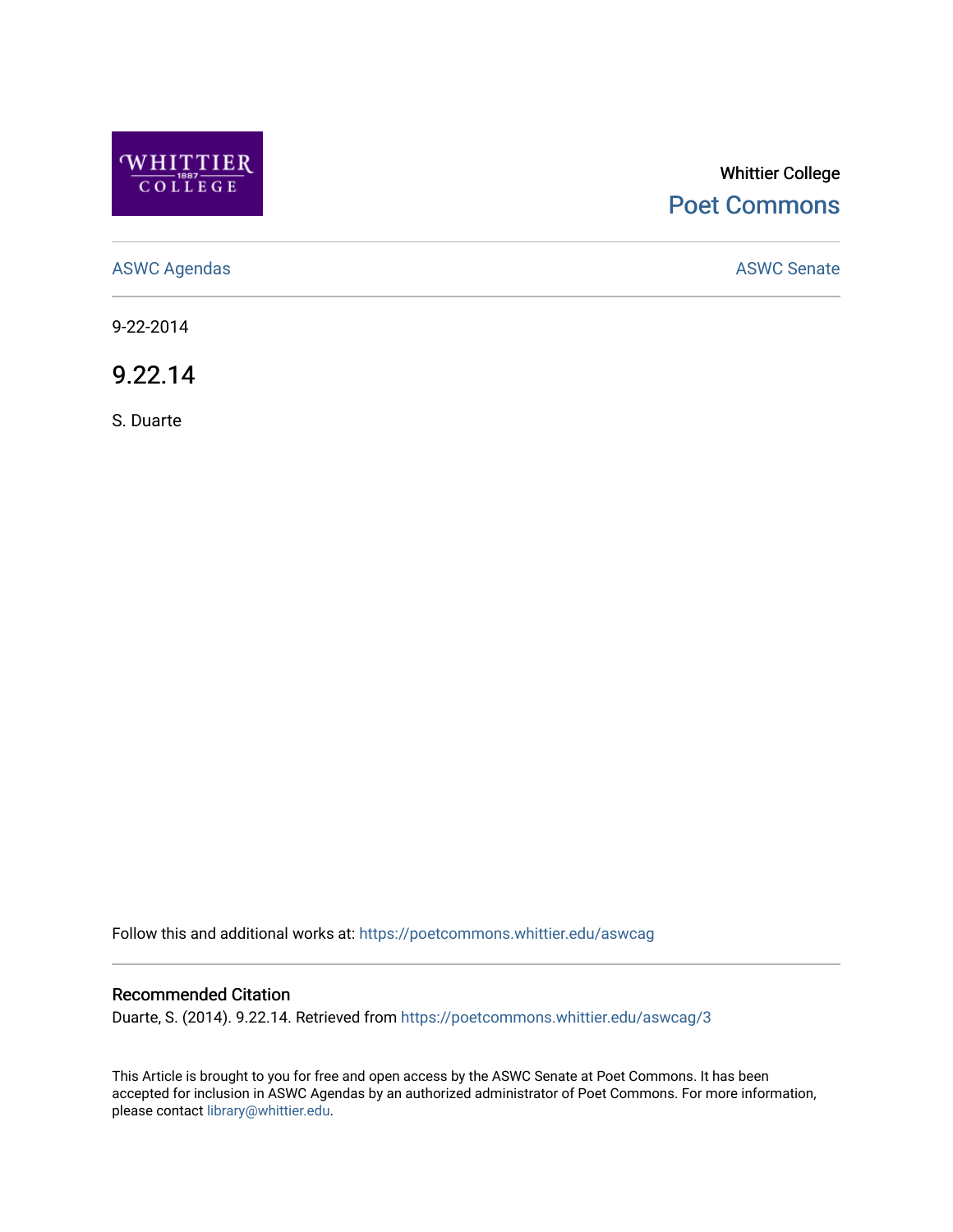

## Whittier College [Poet Commons](https://poetcommons.whittier.edu/)

[ASWC Agendas](https://poetcommons.whittier.edu/aswcag) **ASWC Senate** 

9-22-2014

9.22.14

S. Duarte

Follow this and additional works at: [https://poetcommons.whittier.edu/aswcag](https://poetcommons.whittier.edu/aswcag?utm_source=poetcommons.whittier.edu%2Faswcag%2F3&utm_medium=PDF&utm_campaign=PDFCoverPages) 

## Recommended Citation

Duarte, S. (2014). 9.22.14. Retrieved from [https://poetcommons.whittier.edu/aswcag/3](https://poetcommons.whittier.edu/aswcag/3?utm_source=poetcommons.whittier.edu%2Faswcag%2F3&utm_medium=PDF&utm_campaign=PDFCoverPages)

This Article is brought to you for free and open access by the ASWC Senate at Poet Commons. It has been accepted for inclusion in ASWC Agendas by an authorized administrator of Poet Commons. For more information, please contact [library@whittier.edu](mailto:library@whittier.edu).